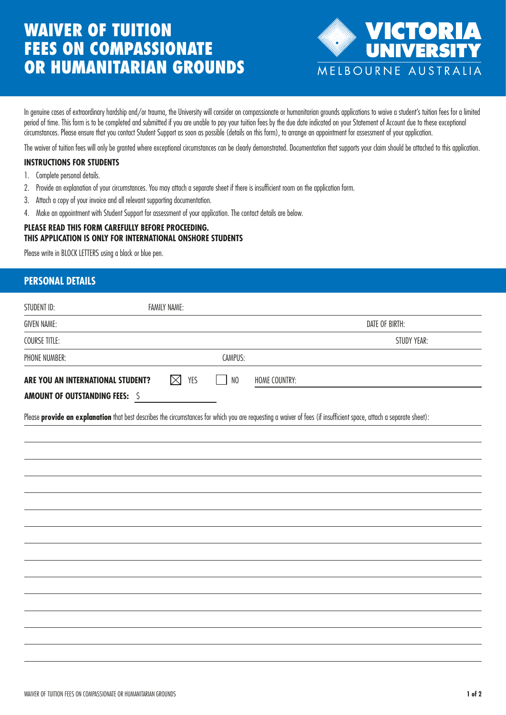# WAIVER OF TUITION FEES ON COMPASSIONATE OR HUMANITARIAN GROUNDS



In genuine cases of extraordinary hardship and/or trauma, the University will consider on compassionate or humanitarian grounds applications to waive a student's tuition fees for a limited period of time. This form is to be completed and submitted if you are unable to pay your tuition fees by the due date indicated on your Statement of Account due to these exceptional circumstances. Please ensure that you contact Student Support as soon as possible (details on this form), to arrange an appointment for assessment of your application.

The waiver of tuition fees will only be granted where exceptional circumstances can be clearly demonstrated. Documentation that supports your claim should be attached to this application.

### **INSTRUCTIONS FOR STUDENTS**

- 1. Complete personal details.
- 2. Provide an explanation of your circumstances. You may attach a separate sheet if there is insufficient room on the application form.
- 3. Attach a copy of your invoice and all relevant supporting documentation.
- 4. Make an appointment with Student Support for assessment of your application. The contact details are below.

#### **PLEASE READ THIS FORM CAREFULLY BEFORE PROCEEDING. THIS APPLICATION IS ONLY FOR INTERNATIONAL ONSHORE STUDENTS**

Please write in BLOCK LETTERS using a black or blue pen.

## **PERSONAL DETAILS**

| STUDENT ID:                           | <b>FAMILY NAME:</b> |                        |                                                                                                                                                                     |
|---------------------------------------|---------------------|------------------------|---------------------------------------------------------------------------------------------------------------------------------------------------------------------|
| <b>GIVEN NAME:</b>                    |                     |                        | DATE OF BIRTH:                                                                                                                                                      |
| <b>COURSE TITLE:</b>                  |                     |                        | STUDY YEAR:                                                                                                                                                         |
| PHONE NUMBER:                         |                     | CAMPUS:                |                                                                                                                                                                     |
| ARE YOU AN INTERNATIONAL STUDENT?     | $\boxtimes$<br>YES  | $_{\rm NO}$<br>$\perp$ | HOME COUNTRY:                                                                                                                                                       |
| <b>AMOUNT OF OUTSTANDING FEES: \$</b> |                     |                        |                                                                                                                                                                     |
|                                       |                     |                        | Please provide an explanation that best describes the circumstances for which you are requesting a waiver of fees (if insufficient space, attach a separate sheet): |
|                                       |                     |                        |                                                                                                                                                                     |
|                                       |                     |                        |                                                                                                                                                                     |
|                                       |                     |                        |                                                                                                                                                                     |
|                                       |                     |                        |                                                                                                                                                                     |
|                                       |                     |                        |                                                                                                                                                                     |
|                                       |                     |                        |                                                                                                                                                                     |
|                                       |                     |                        |                                                                                                                                                                     |
|                                       |                     |                        |                                                                                                                                                                     |
|                                       |                     |                        |                                                                                                                                                                     |
|                                       |                     |                        |                                                                                                                                                                     |
|                                       |                     |                        |                                                                                                                                                                     |
|                                       |                     |                        |                                                                                                                                                                     |
|                                       |                     |                        |                                                                                                                                                                     |
|                                       |                     |                        |                                                                                                                                                                     |